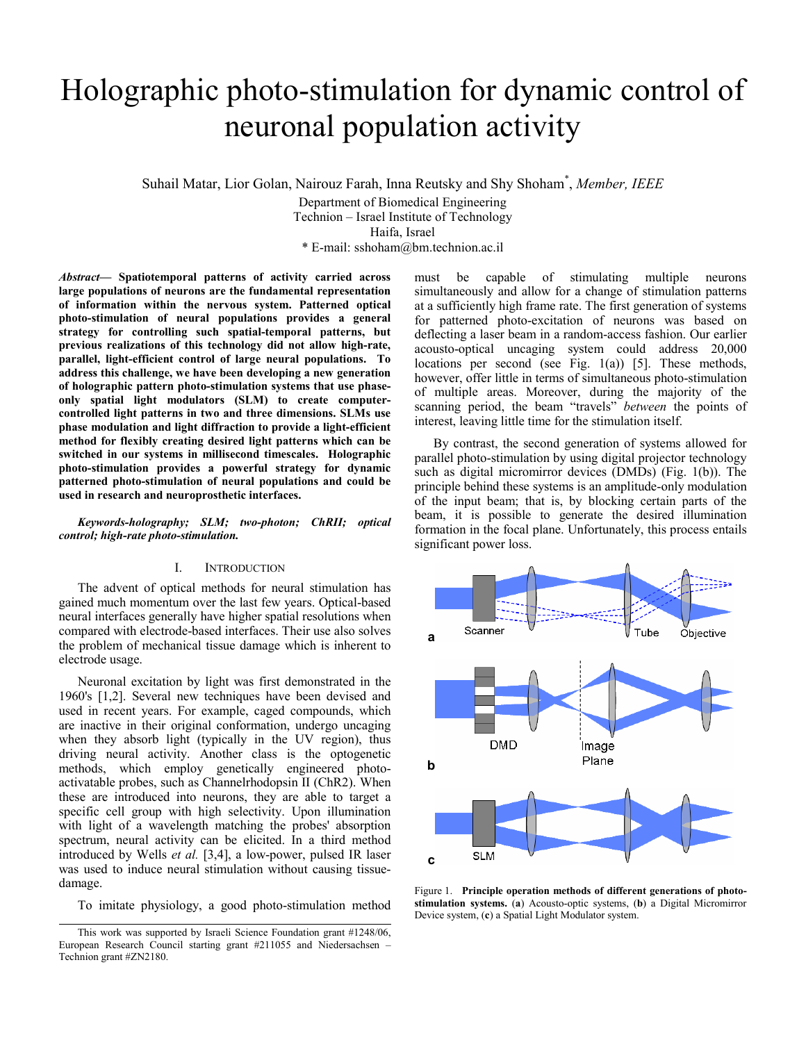# Holographic photo-stimulation for dynamic control of neuronal population activity

Suhail Matar, Lior Golan, Nairouz Farah, Inna Reutsky and Shy Shoham\* , *Member, IEEE*

Department of Biomedical Engineering Technion – Israel Institute of Technology Haifa, Israel

\* E-mail: sshoham@bm.technion.ac.il

*Abstract***— Spatiotemporal patterns of activity carried across large populations of neurons are the fundamental representation of information within the nervous system. Patterned optical photo-stimulation of neural populations provides a general strategy for controlling such spatial-temporal patterns, but previous realizations of this technology did not allow high-rate, parallel, light-efficient control of large neural populations. To address this challenge, we have been developing a new generation of holographic pattern photo-stimulation systems that use phaseonly spatial light modulators (SLM) to create computercontrolled light patterns in two and three dimensions. SLMs use phase modulation and light diffraction to provide a light-efficient method for flexibly creating desired light patterns which can be switched in our systems in millisecond timescales. Holographic photo-stimulation provides a powerful strategy for dynamic patterned photo-stimulation of neural populations and could be used in research and neuroprosthetic interfaces.** 

*Keywords-holography; SLM; two-photon; ChRII; optical control; high-rate photo-stimulation.* 

## I. INTRODUCTION

The advent of optical methods for neural stimulation has gained much momentum over the last few years. Optical-based neural interfaces generally have higher spatial resolutions when compared with electrode-based interfaces. Their use also solves the problem of mechanical tissue damage which is inherent to electrode usage.

Neuronal excitation by light was first demonstrated in the 1960's [1,2]. Several new techniques have been devised and used in recent years. For example, caged compounds, which are inactive in their original conformation, undergo uncaging when they absorb light (typically in the UV region), thus driving neural activity. Another class is the optogenetic methods, which employ genetically engineered photoactivatable probes, such as Channelrhodopsin II (ChR2). When these are introduced into neurons, they are able to target a specific cell group with high selectivity. Upon illumination with light of a wavelength matching the probes' absorption spectrum, neural activity can be elicited. In a third method introduced by Wells *et al.* [3,4], a low-power, pulsed IR laser was used to induce neural stimulation without causing tissuedamage.

To imitate physiology, a good photo-stimulation method

must be capable of stimulating multiple neurons simultaneously and allow for a change of stimulation patterns at a sufficiently high frame rate. The first generation of systems for patterned photo-excitation of neurons was based on deflecting a laser beam in a random-access fashion. Our earlier acousto-optical uncaging system could address 20,000 locations per second (see Fig.  $1(a)$ ) [5]. These methods, however, offer little in terms of simultaneous photo-stimulation of multiple areas. Moreover, during the majority of the scanning period, the beam "travels" *between* the points of interest, leaving little time for the stimulation itself.

By contrast, the second generation of systems allowed for parallel photo-stimulation by using digital projector technology such as digital micromirror devices (DMDs) (Fig. 1(b)). The principle behind these systems is an amplitude-only modulation of the input beam; that is, by blocking certain parts of the beam, it is possible to generate the desired illumination formation in the focal plane. Unfortunately, this process entails significant power loss.



Figure 1. **Principle operation methods of different generations of photostimulation systems.** (**a**) Acousto-optic systems, (**b**) a Digital Micromirror Device system, (**c**) a Spatial Light Modulator system.

This work was supported by Israeli Science Foundation grant #1248/06, European Research Council starting grant #211055 and Niedersachsen – Technion grant #ZN2180.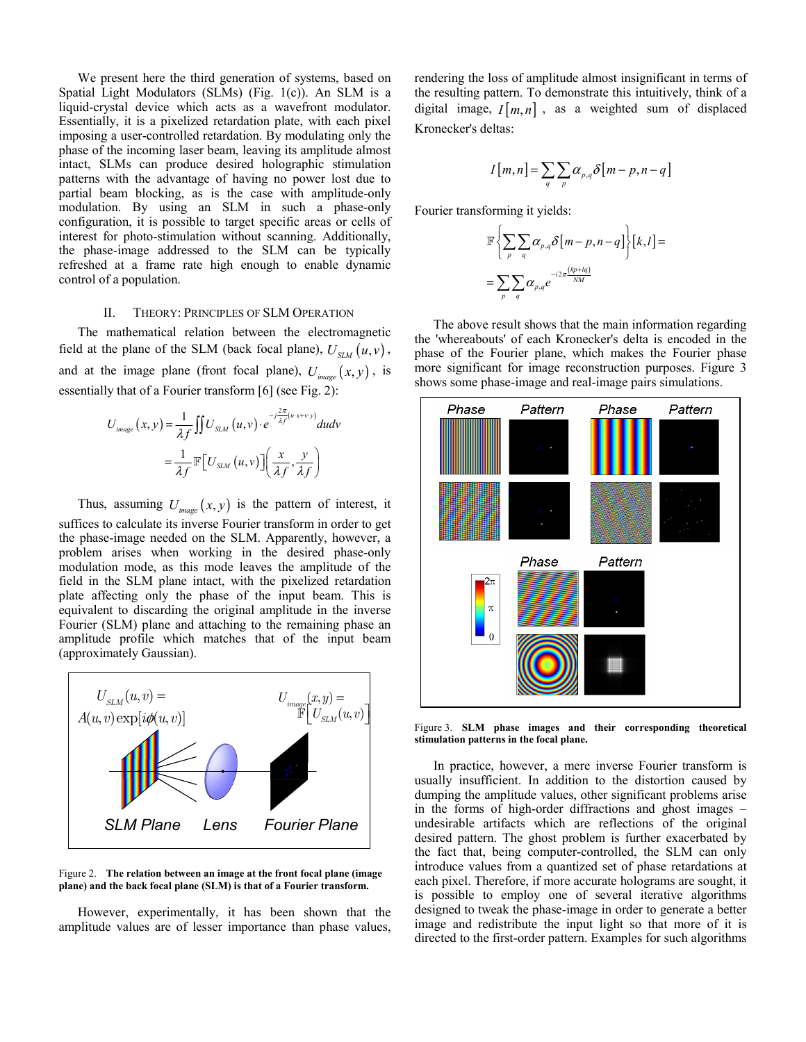We present here the third generation of systems, based on Spatial Light Modulators (SLMs) (Fig. 1(c)). An SLM is a liquid-crystal device which acts as a wavefront modulator. Essentially, it is a pixelized retardation plate, with each pixel imposing a user-controlled retardation. By modulating only the phase of the incoming laser beam, leaving its amplitude almost intact, SLMs can produce desired holographic stimulation patterns with the advantage of having no power lost due to partial beam blocking, as is the case with amplitude-only modulation. By using an SLM in such a phase-only configuration, it is possible to target specific areas or cells of interest for photo-stimulation without scanning. Additionally, the phase-image addressed to the SLM can be typically refreshed at a frame rate high enough to enable dynamic control of a population.

## II. THEORY: PRINCIPLES OF SLM OPERATION

The mathematical relation between the electromagnetic field at the plane of the SLM (back focal plane),  $U_{SM}(u, v)$ , and at the image plane (front focal plane),  $U_{image}(x, y)$ , is essentially that of a Fourier transform [6] (see Fig. 2):

$$
U_{image}(x, y) = \frac{1}{\lambda f} \iint U_{SLM}(u, v) \cdot e^{-j\frac{2\pi}{\lambda f}(u \cdot x + v \cdot y)} du dv
$$
  
= 
$$
\frac{1}{\lambda f} \mathbb{F} \Big[ U_{SLM}(u, v) \Big] \Big( \frac{x}{\lambda f}, \frac{y}{\lambda f} \Big)
$$

Thus, assuming  $U_{image}(x, y)$  is the pattern of interest, it suffices to calculate its inverse Fourier transform in order to get the phase-image needed on the SLM. Apparently, however, a problem arises when working in the desired phase-only modulation mode, as this mode leaves the amplitude of the field in the SLM plane intact, with the pixelized retardation plate affecting only the phase of the input beam. This is equivalent to discarding the original amplitude in the inverse Fourier (SLM) plane and attaching to the remaining phase an amplitude profile which matches that of the input beam (approximately Gaussian).



Figure 2. **The relation between an image at the front focal plane (image plane) and the back focal plane (SLM) is that of a Fourier transform.** 

However, experimentally, it has been shown that the amplitude values are of lesser importance than phase values, rendering the loss of amplitude almost insignificant in terms of the resulting pattern. To demonstrate this intuitively, think of a digital image,  $I[m, n]$ , as a weighted sum of displaced Kronecker's deltas:

$$
I[m,n] = \sum_{q} \sum_{p} \alpha_{p,q} \delta[m-p,n-q]
$$

Fourier transforming it yields:

$$
\mathbb{F}\left\{\sum_{p}\sum_{q}\alpha_{p,q}\delta\left[m-p,n-q\right]\right\}\left[k,l\right]=\sum_{p}\sum_{q}\alpha_{p,q}e^{-i2\pi\frac{(kp+lq)}{NM}}
$$

The above result shows that the main information regarding the 'whereabouts' of each Kronecker's delta is encoded in the phase of the Fourier plane, which makes the Fourier phase more significant for image reconstruction purposes. Figure 3 shows some phase-image and real-image pairs simulations.



Figure 3. **SLM phase images and their corresponding theoretical stimulation patterns in the focal plane.** 

In practice, however, a mere inverse Fourier transform is usually insufficient. In addition to the distortion caused by dumping the amplitude values, other significant problems arise in the forms of high-order diffractions and ghost images – undesirable artifacts which are reflections of the original desired pattern. The ghost problem is further exacerbated by the fact that, being computer-controlled, the SLM can only introduce values from a quantized set of phase retardations at each pixel. Therefore, if more accurate holograms are sought, it is possible to employ one of several iterative algorithms designed to tweak the phase-image in order to generate a better image and redistribute the input light so that more of it is directed to the first-order pattern. Examples for such algorithms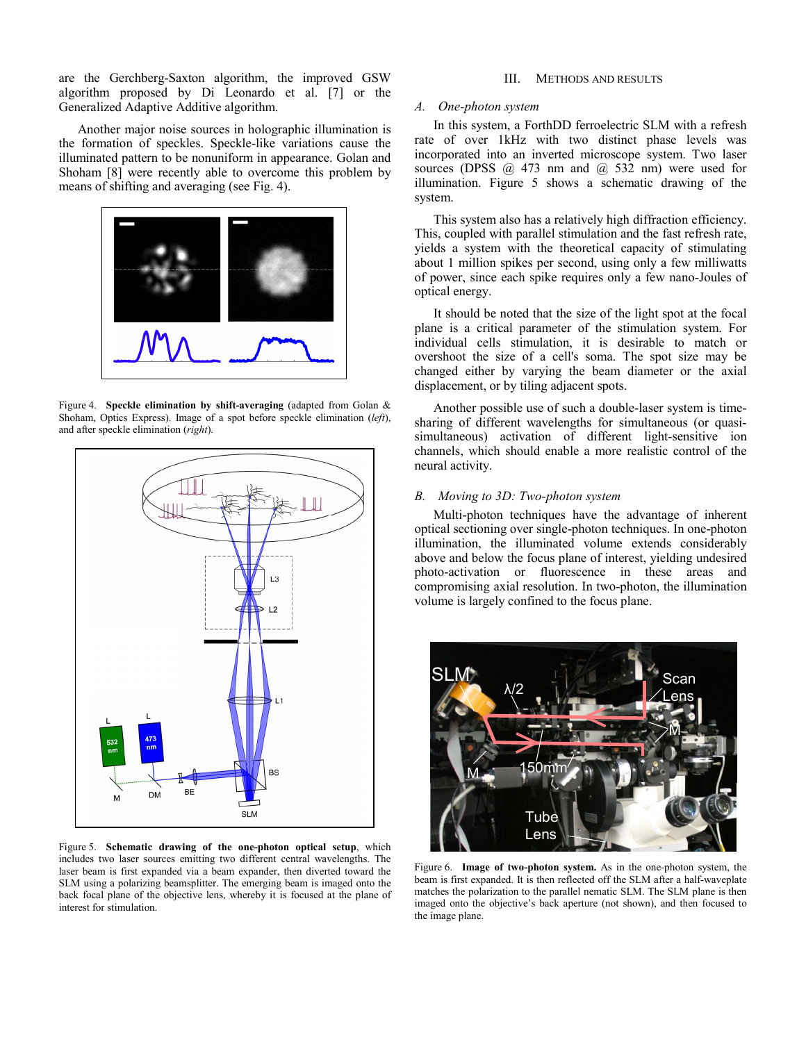are the Gerchberg-Saxton algorithm, the improved GSW algorithm proposed by Di Leonardo et al. [7] or the Generalized Adaptive Additive algorithm.

Another major noise sources in holographic illumination is the formation of speckles. Speckle-like variations cause the illuminated pattern to be nonuniform in appearance. Golan and Shoham [8] were recently able to overcome this problem by means of shifting and averaging (see Fig. 4).



Figure 4. **Speckle elimination by shift-averaging** (adapted from Golan & Shoham, Optics Express). Image of a spot before speckle elimination (*left*), and after speckle elimination (*right*).



Figure 5. **Schematic drawing of the one-photon optical setup**, which includes two laser sources emitting two different central wavelengths. The laser beam is first expanded via a beam expander, then diverted toward the SLM using a polarizing beamsplitter. The emerging beam is imaged onto the back focal plane of the objective lens, whereby it is focused at the plane of interest for stimulation.

## III. METHODS AND RESULTS

### *A. One-photon system*

In this system, a ForthDD ferroelectric SLM with a refresh rate of over 1kHz with two distinct phase levels was incorporated into an inverted microscope system. Two laser sources (DPSS  $\omega$  473 nm and  $\omega$  532 nm) were used for illumination. Figure 5 shows a schematic drawing of the system.

This system also has a relatively high diffraction efficiency. This, coupled with parallel stimulation and the fast refresh rate, yields a system with the theoretical capacity of stimulating about 1 million spikes per second, using only a few milliwatts of power, since each spike requires only a few nano-Joules of optical energy.

It should be noted that the size of the light spot at the focal plane is a critical parameter of the stimulation system. For individual cells stimulation, it is desirable to match or overshoot the size of a cell's soma. The spot size may be changed either by varying the beam diameter or the axial displacement, or by tiling adjacent spots.

Another possible use of such a double-laser system is timesharing of different wavelengths for simultaneous (or quasisimultaneous) activation of different light-sensitive ion channels, which should enable a more realistic control of the neural activity.

## *B. Moving to 3D: Two-photon system*

Multi-photon techniques have the advantage of inherent optical sectioning over single-photon techniques. In one-photon illumination, the illuminated volume extends considerably above and below the focus plane of interest, yielding undesired photo-activation or fluorescence in these areas and compromising axial resolution. In two-photon, the illumination volume is largely confined to the focus plane.



Figure 6. **Image of two-photon system.** As in the one-photon system, the beam is first expanded. It is then reflected off the SLM after a half-waveplate matches the polarization to the parallel nematic SLM. The SLM plane is then imaged onto the objective's back aperture (not shown), and then focused to the image plane.